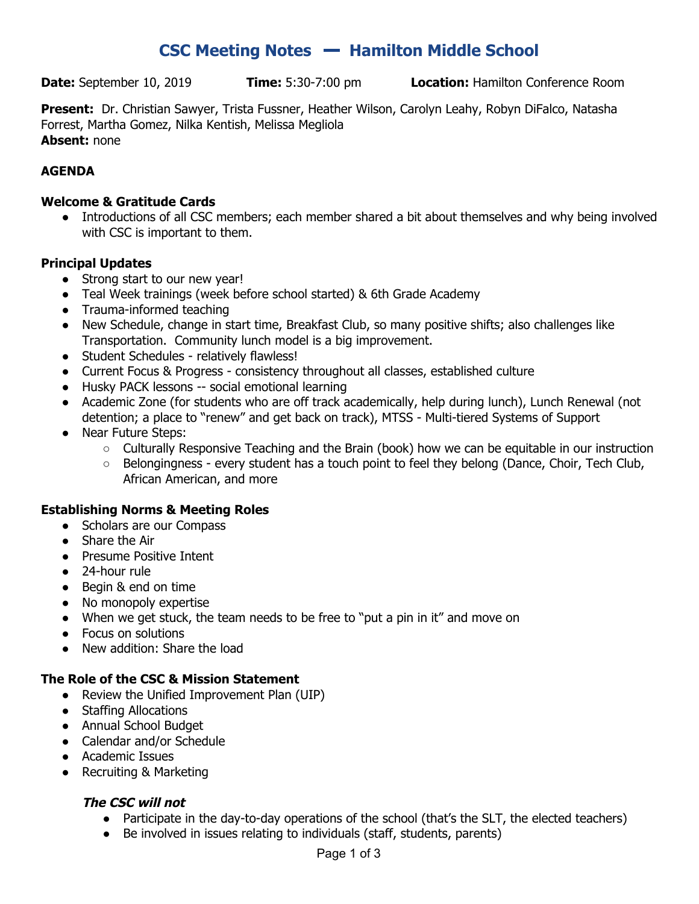# **CSC Meeting Notes** ━ **Hamilton Middle School**

**Date:** September 10, 2019 **Time:** 5:30-7:00 pm **Location:** Hamilton Conference Room

**Present:** Dr. Christian Sawyer, Trista Fussner, Heather Wilson, Carolyn Leahy, Robyn DiFalco, Natasha Forrest, Martha Gomez, Nilka Kentish, Melissa Megliola **Absent:** none

# **AGENDA**

## **Welcome & Gratitude Cards**

• Introductions of all CSC members; each member shared a bit about themselves and why being involved with CSC is important to them.

#### **Principal Updates**

- Strong start to our new year!
- Teal Week trainings (week before school started) & 6th Grade Academy
- Trauma-informed teaching
- New Schedule, change in start time, Breakfast Club, so many positive shifts; also challenges like Transportation. Community lunch model is a big improvement.
- Student Schedules relatively flawless!
- Current Focus & Progress consistency throughout all classes, established culture
- Husky PACK lessons -- social emotional learning
- Academic Zone (for students who are off track academically, help during lunch), Lunch Renewal (not detention; a place to "renew" and get back on track), MTSS - Multi-tiered Systems of Support
- Near Future Steps:
	- $\circ$  Culturally Responsive Teaching and the Brain (book) how we can be equitable in our instruction
	- $\circ$  Belongingness every student has a touch point to feel they belong (Dance, Choir, Tech Club, African American, and more

#### **Establishing Norms & Meeting Roles**

- Scholars are our Compass
- Share the Air
- Presume Positive Intent
- 24-hour rule
- Begin & end on time
- No monopoly expertise
- When we get stuck, the team needs to be free to "put a pin in it" and move on
- Focus on solutions
- New addition: Share the load

## **The Role of the CSC & Mission Statement**

- Review the Unified Improvement Plan (UIP)
- Staffing Allocations
- Annual School Budget
- Calendar and/or Schedule
- Academic Issues
- Recruiting & Marketing

## **The CSC will not**

- Participate in the day-to-day operations of the school (that's the SLT, the elected teachers)
- Be involved in issues relating to individuals (staff, students, parents)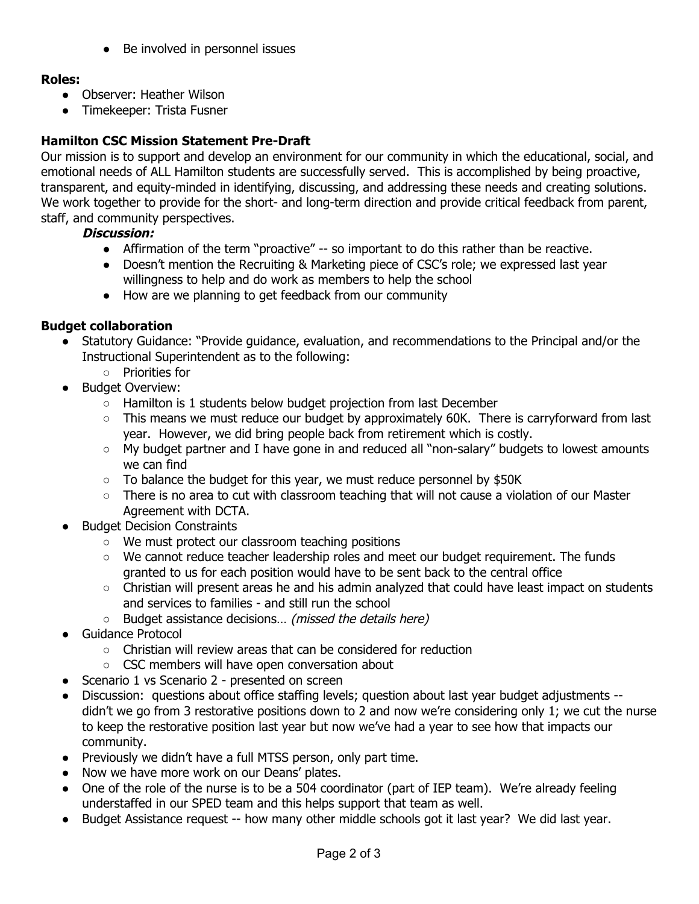• Be involved in personnel issues

## **Roles:**

- Observer: Heather Wilson
- Timekeeper: Trista Fusner

## **Hamilton CSC Mission Statement Pre-Draft**

Our mission is to support and develop an environment for our community in which the educational, social, and emotional needs of ALL Hamilton students are successfully served. This is accomplished by being proactive, transparent, and equity-minded in identifying, discussing, and addressing these needs and creating solutions. We work together to provide for the short- and long-term direction and provide critical feedback from parent, staff, and community perspectives.

#### **Discussion:**

- Affirmation of the term "proactive" -- so important to do this rather than be reactive.
- Doesn't mention the Recruiting & Marketing piece of CSC's role; we expressed last year willingness to help and do work as members to help the school
- How are we planning to get feedback from our community

## **Budget collaboration**

- Statutory Guidance: "Provide guidance, evaluation, and recommendations to the Principal and/or the Instructional Superintendent as to the following:
	- Priorities for
- Budget Overview:
	- Hamilton is 1 students below budget projection from last December
	- This means we must reduce our budget by approximately 60K. There is carryforward from last year. However, we did bring people back from retirement which is costly.
	- My budget partner and I have gone in and reduced all "non-salary" budgets to lowest amounts we can find
	- To balance the budget for this year, we must reduce personnel by \$50K
	- There is no area to cut with classroom teaching that will not cause a violation of our Master Agreement with DCTA.
- **Budget Decision Constraints** 
	- We must protect our classroom teaching positions
	- We cannot reduce teacher leadership roles and meet our budget requirement. The funds granted to us for each position would have to be sent back to the central office
	- Christian will present areas he and his admin analyzed that could have least impact on students and services to families - and still run the school
	- Budget assistance decisions… (missed the details here)
- Guidance Protocol
	- Christian will review areas that can be considered for reduction
	- CSC members will have open conversation about
- Scenario 1 vs Scenario 2 presented on screen
- Discussion: questions about office staffing levels; question about last year budget adjustments -didn't we go from 3 restorative positions down to 2 and now we're considering only 1; we cut the nurse to keep the restorative position last year but now we've had a year to see how that impacts our community.
- Previously we didn't have a full MTSS person, only part time.
- Now we have more work on our Deans' plates.
- One of the role of the nurse is to be a 504 coordinator (part of IEP team). We're already feeling understaffed in our SPED team and this helps support that team as well.
- Budget Assistance request -- how many other middle schools got it last year? We did last year.